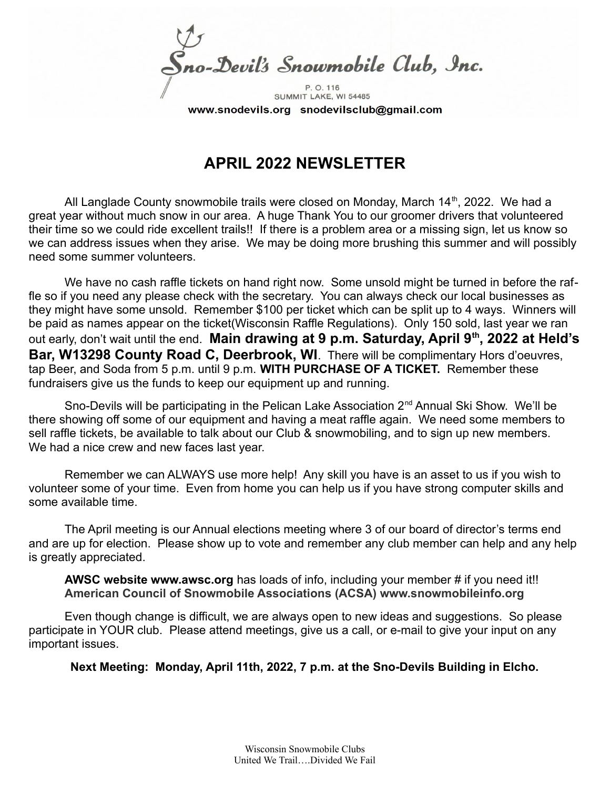Sno-Devil's Snowmobile Club, Inc. P. O. 116

SUMMIT LAKE, WI 54485 www.snodevils.org snodevilsclub@gmail.com

## **APRIL 2022 NEWSLETTER**

All Langlade County snowmobile trails were closed on Monday, March  $14<sup>th</sup>$ , 2022. We had a great year without much snow in our area. A huge Thank You to our groomer drivers that volunteered their time so we could ride excellent trails!! If there is a problem area or a missing sign, let us know so we can address issues when they arise. We may be doing more brushing this summer and will possibly need some summer volunteers.

We have no cash raffle tickets on hand right now. Some unsold might be turned in before the raffle so if you need any please check with the secretary. You can always check our local businesses as they might have some unsold. Remember \$100 per ticket which can be split up to 4 ways. Winners will be paid as names appear on the ticket(Wisconsin Raffle Regulations). Only 150 sold, last year we ran out early, don't wait until the end. **Main drawing at 9 p.m. Saturday, April 9th, 2022 at Held's Bar, W13298 County Road C, Deerbrook, WI**. There will be complimentary Hors d'oeuvres, tap Beer, and Soda from 5 p.m. until 9 p.m. **WITH PURCHASE OF A TICKET.** Remember these fundraisers give us the funds to keep our equipment up and running.

Sno-Devils will be participating in the Pelican Lake Association 2<sup>nd</sup> Annual Ski Show. We'll be there showing off some of our equipment and having a meat raffle again. We need some members to sell raffle tickets, be available to talk about our Club & snowmobiling, and to sign up new members. We had a nice crew and new faces last year.

Remember we can ALWAYS use more help! Any skill you have is an asset to us if you wish to volunteer some of your time. Even from home you can help us if you have strong computer skills and some available time.

The April meeting is our Annual elections meeting where 3 of our board of director's terms end and are up for election. Please show up to vote and remember any club member can help and any help is greatly appreciated.

**AWSC website www.awsc.org** has loads of info, including your member # if you need it!! **American Council of Snowmobile Associations (ACSA) www.snowmobileinfo.org**

Even though change is difficult, we are always open to new ideas and suggestions. So please participate in YOUR club. Please attend meetings, give us a call, or e-mail to give your input on any important issues.

**Next Meeting: Monday, April 11th, 2022, 7 p.m. at the Sno-Devils Building in Elcho.**